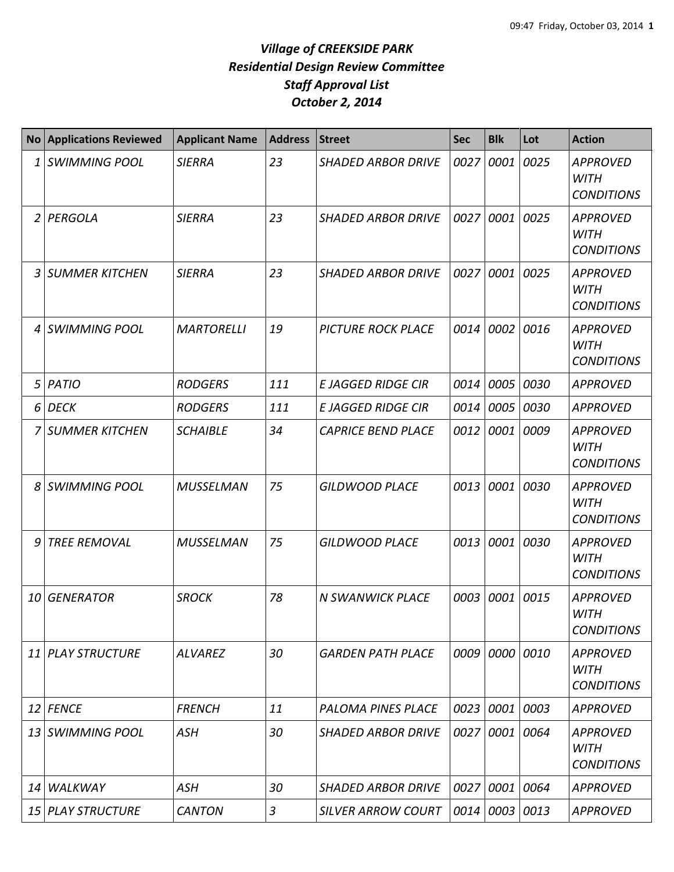|    | No Applications Reviewed | <b>Applicant Name</b> | <b>Address</b> | <b>Street</b>             | <b>Sec</b> | <b>Blk</b> | Lot  | <b>Action</b>                                       |
|----|--------------------------|-----------------------|----------------|---------------------------|------------|------------|------|-----------------------------------------------------|
| 1  | <b>SWIMMING POOL</b>     | <b>SIERRA</b>         | 23             | <b>SHADED ARBOR DRIVE</b> | 0027       | 0001       | 0025 | <b>APPROVED</b><br><b>WITH</b><br><b>CONDITIONS</b> |
|    | 2 PERGOLA                | <b>SIERRA</b>         | 23             | <b>SHADED ARBOR DRIVE</b> | 0027       | 0001       | 0025 | <b>APPROVED</b><br><b>WITH</b><br><b>CONDITIONS</b> |
| 3  | <b>SUMMER KITCHEN</b>    | <b>SIERRA</b>         | 23             | <b>SHADED ARBOR DRIVE</b> | 0027       | 0001       | 0025 | <b>APPROVED</b><br><b>WITH</b><br><b>CONDITIONS</b> |
| 4  | <b>SWIMMING POOL</b>     | <b>MARTORELLI</b>     | 19             | <b>PICTURE ROCK PLACE</b> | 0014       | 0002       | 0016 | <b>APPROVED</b><br><b>WITH</b><br><b>CONDITIONS</b> |
| 5  | PATIO                    | <b>RODGERS</b>        | 111            | <b>E JAGGED RIDGE CIR</b> | 0014       | 0005       | 0030 | <b>APPROVED</b>                                     |
| 6  | <b>DECK</b>              | <b>RODGERS</b>        | 111            | E JAGGED RIDGE CIR        | 0014       | 0005       | 0030 | <b>APPROVED</b>                                     |
| 7  | <b>SUMMER KITCHEN</b>    | <b>SCHAIBLE</b>       | 34             | <b>CAPRICE BEND PLACE</b> | 0012       | 0001       | 0009 | <b>APPROVED</b><br><b>WITH</b><br><b>CONDITIONS</b> |
| 8  | SWIMMING POOL            | <b>MUSSELMAN</b>      | 75             | <b>GILDWOOD PLACE</b>     | 0013       | 0001       | 0030 | <b>APPROVED</b><br><b>WITH</b><br><b>CONDITIONS</b> |
| 9  | <b>TREE REMOVAL</b>      | <b>MUSSELMAN</b>      | 75             | <b>GILDWOOD PLACE</b>     | 0013       | 0001       | 0030 | <b>APPROVED</b><br><b>WITH</b><br><b>CONDITIONS</b> |
|    | 10 GENERATOR             | <b>SROCK</b>          | 78             | <b>N SWANWICK PLACE</b>   | 0003       | 0001       | 0015 | <b>APPROVED</b><br><b>WITH</b><br><b>CONDITIONS</b> |
| 11 | <b>PLAY STRUCTURE</b>    | <b>ALVAREZ</b>        | 30             | <b>GARDEN PATH PLACE</b>  | 0009       | 0000       | 0010 | <b>APPROVED</b><br><b>WITH</b><br><b>CONDITIONS</b> |
|    | 12 FENCE                 | <b>FRENCH</b>         | 11             | PALOMA PINES PLACE        | 0023       | 0001       | 0003 | <b>APPROVED</b>                                     |
|    | 13 SWIMMING POOL         | ASH                   | 30             | <b>SHADED ARBOR DRIVE</b> | 0027       | 0001       | 0064 | <b>APPROVED</b><br><b>WITH</b><br><b>CONDITIONS</b> |
| 14 | WALKWAY                  | <b>ASH</b>            | 30             | <b>SHADED ARBOR DRIVE</b> | 0027       | 0001 0064  |      | <b>APPROVED</b>                                     |
|    | 15 PLAY STRUCTURE        | <b>CANTON</b>         | 3              | <b>SILVER ARROW COURT</b> | 0014       | 0003       | 0013 | <b>APPROVED</b>                                     |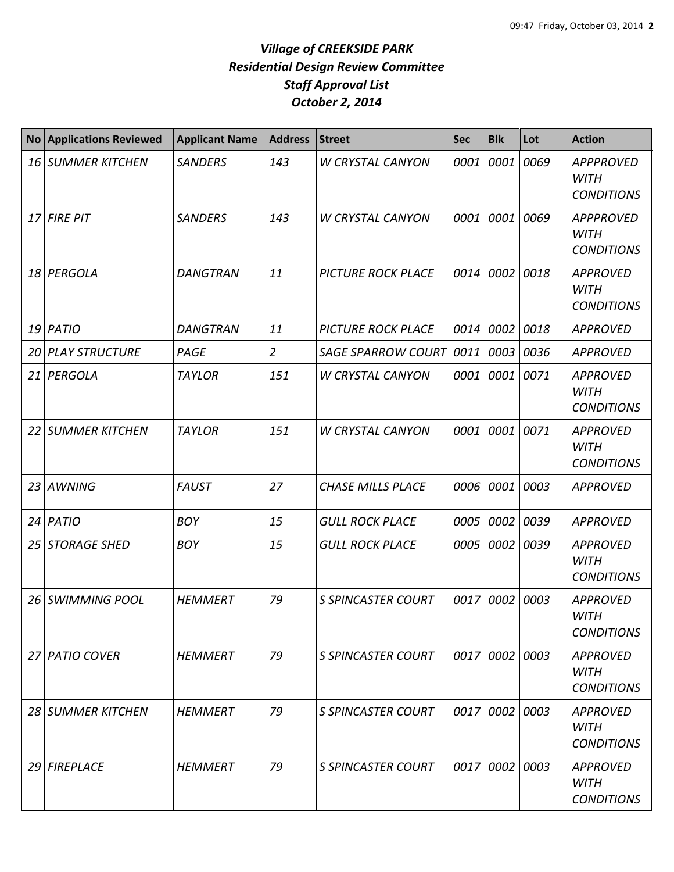| <b>No</b> | <b>Applications Reviewed</b> | <b>Applicant Name</b> | <b>Address</b> | <b>Street</b>             | <b>Sec</b> | <b>Blk</b> | Lot  | <b>Action</b>                                        |
|-----------|------------------------------|-----------------------|----------------|---------------------------|------------|------------|------|------------------------------------------------------|
| 16        | SUMMER KITCHEN               | <b>SANDERS</b>        | 143            | <b>W CRYSTAL CANYON</b>   | 0001       | 0001       | 0069 | <b>APPPROVED</b><br><b>WITH</b><br><b>CONDITIONS</b> |
| 17        | <b>FIRE PIT</b>              | <b>SANDERS</b>        | 143            | <b>W CRYSTAL CANYON</b>   | 0001       | 0001       | 0069 | <b>APPPROVED</b><br><b>WITH</b><br><b>CONDITIONS</b> |
| 18        | PERGOLA                      | <b>DANGTRAN</b>       | 11             | <b>PICTURE ROCK PLACE</b> | 0014       | 0002       | 0018 | <b>APPROVED</b><br><b>WITH</b><br><b>CONDITIONS</b>  |
| 19        | PATIO                        | <b>DANGTRAN</b>       | 11             | <b>PICTURE ROCK PLACE</b> | 0014       | 0002       | 0018 | <b>APPROVED</b>                                      |
| 20        | <b>PLAY STRUCTURE</b>        | PAGE                  | $\overline{2}$ | <b>SAGE SPARROW COURT</b> | 0011       | 0003       | 0036 | <b>APPROVED</b>                                      |
| 21        | PERGOLA                      | <b>TAYLOR</b>         | 151            | <b>W CRYSTAL CANYON</b>   | 0001       | 0001       | 0071 | <b>APPROVED</b><br><b>WITH</b><br><b>CONDITIONS</b>  |
| 22        | <b>SUMMER KITCHEN</b>        | <b>TAYLOR</b>         | 151            | <b>W CRYSTAL CANYON</b>   | 0001       | 0001       | 0071 | <b>APPROVED</b><br><b>WITH</b><br><b>CONDITIONS</b>  |
| 23        | <b>AWNING</b>                | <b>FAUST</b>          | 27             | <b>CHASE MILLS PLACE</b>  | 0006       | 0001       | 0003 | <b>APPROVED</b>                                      |
| 24        | PATIO                        | <b>BOY</b>            | 15             | <b>GULL ROCK PLACE</b>    | 0005       | 0002       | 0039 | <b>APPROVED</b>                                      |
| 25        | <b>STORAGE SHED</b>          | <b>BOY</b>            | 15             | <b>GULL ROCK PLACE</b>    | 0005       | 0002       | 0039 | <b>APPROVED</b><br><b>WITH</b><br><b>CONDITIONS</b>  |
| 26        | <b>SWIMMING POOL</b>         | <b>HEMMERT</b>        | 79             | <b>S SPINCASTER COURT</b> | 0017       | 0002       | 0003 | <b>APPROVED</b><br><b>WITH</b><br><b>CONDITIONS</b>  |
|           | 27 PATIO COVER               | <b>HEMMERT</b>        | 79             | <b>S SPINCASTER COURT</b> |            | 0017 0002  | 0003 | <b>APPROVED</b><br><b>WITH</b><br><b>CONDITIONS</b>  |
|           | 28 SUMMER KITCHEN            | <b>HEMMERT</b>        | 79             | <b>S SPINCASTER COURT</b> |            | 0017 0002  | 0003 | <b>APPROVED</b><br><b>WITH</b><br><b>CONDITIONS</b>  |
| 29        | <b>FIREPLACE</b>             | <b>HEMMERT</b>        | 79             | <b>S SPINCASTER COURT</b> |            | 0017 0002  | 0003 | <b>APPROVED</b><br><b>WITH</b><br><b>CONDITIONS</b>  |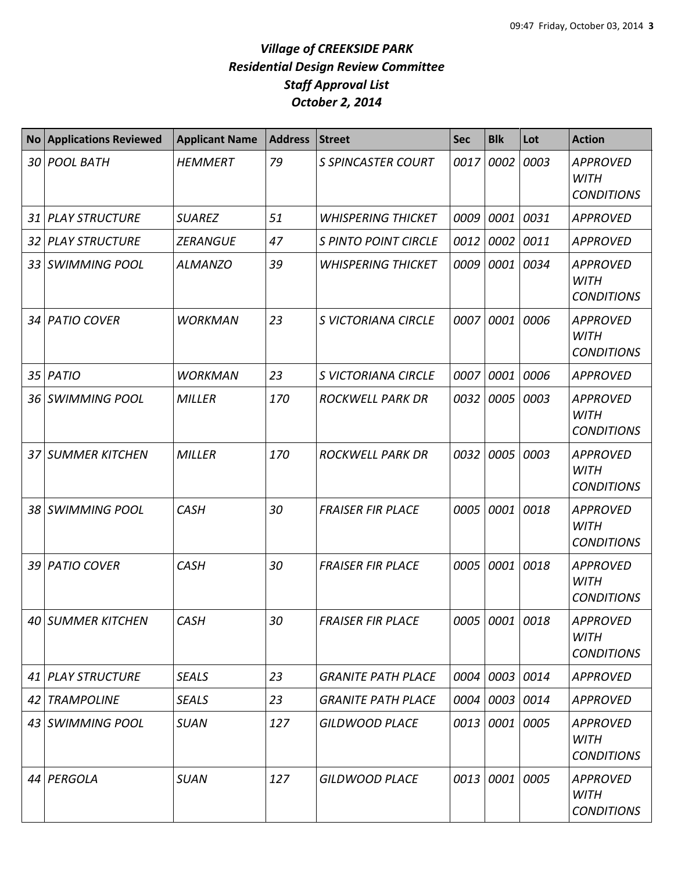| <b>No</b>       | <b>Applications Reviewed</b> | <b>Applicant Name</b> | <b>Address</b> | <b>Street</b>               | <b>Sec</b> | <b>Blk</b>     | Lot  | <b>Action</b>                                       |
|-----------------|------------------------------|-----------------------|----------------|-----------------------------|------------|----------------|------|-----------------------------------------------------|
|                 | 30 POOL BATH                 | <b>HEMMERT</b>        | 79             | <b>S SPINCASTER COURT</b>   | 0017       | 0002           | 0003 | <b>APPROVED</b><br><b>WITH</b><br><b>CONDITIONS</b> |
|                 | 31 PLAY STRUCTURE            | <b>SUAREZ</b>         | 51             | <b>WHISPERING THICKET</b>   | 0009       | 0001           | 0031 | <b>APPROVED</b>                                     |
|                 | 32 PLAY STRUCTURE            | <b>ZERANGUE</b>       | 47             | <b>S PINTO POINT CIRCLE</b> | 0012       | 0002           | 0011 | <b>APPROVED</b>                                     |
| 33 <sup>1</sup> | <b>SWIMMING POOL</b>         | <b>ALMANZO</b>        | 39             | <b>WHISPERING THICKET</b>   | 0009       | 0001           | 0034 | <b>APPROVED</b><br><b>WITH</b><br><b>CONDITIONS</b> |
|                 | 34 PATIO COVER               | <b>WORKMAN</b>        | 23             | S VICTORIANA CIRCLE         | 0007       | 0001           | 0006 | <b>APPROVED</b><br><b>WITH</b><br><b>CONDITIONS</b> |
|                 | 35 PATIO                     | <b>WORKMAN</b>        | 23             | <b>S VICTORIANA CIRCLE</b>  | 0007       | 0001           | 0006 | <b>APPROVED</b>                                     |
|                 | 36 SWIMMING POOL             | <b>MILLER</b>         | 170            | <b>ROCKWELL PARK DR</b>     | 0032       | 0005           | 0003 | <b>APPROVED</b><br><b>WITH</b><br><b>CONDITIONS</b> |
|                 | <b>37 SUMMER KITCHEN</b>     | <b>MILLER</b>         | 170            | <b>ROCKWELL PARK DR</b>     |            | 0032 0005 0003 |      | <b>APPROVED</b><br><b>WITH</b><br><b>CONDITIONS</b> |
|                 | 38 SWIMMING POOL             | <b>CASH</b>           | 30             | <b>FRAISER FIR PLACE</b>    | 0005       | 0001           | 0018 | <b>APPROVED</b><br><b>WITH</b><br><b>CONDITIONS</b> |
|                 | 39 PATIO COVER               | <b>CASH</b>           | 30             | <b>FRAISER FIR PLACE</b>    | 0005       | 0001           | 0018 | <b>APPROVED</b><br><b>WITH</b><br><b>CONDITIONS</b> |
|                 | 40 SUMMER KITCHEN            | CASH                  | 30             | <b>FRAISER FIR PLACE</b>    |            | 0005 0001 0018 |      | <b>APPROVED</b><br><b>WITH</b><br><b>CONDITIONS</b> |
|                 | 41 PLAY STRUCTURE            | <b>SEALS</b>          | 23             | <b>GRANITE PATH PLACE</b>   |            | 0004 0003 0014 |      | <b>APPROVED</b>                                     |
| 42              | <b>TRAMPOLINE</b>            | <b>SEALS</b>          | 23             | <b>GRANITE PATH PLACE</b>   |            | 0004 0003 0014 |      | <b>APPROVED</b>                                     |
|                 | 43 SWIMMING POOL             | <b>SUAN</b>           | 127            | GILDWOOD PLACE              |            | 0013 0001 0005 |      | <b>APPROVED</b><br><b>WITH</b><br><b>CONDITIONS</b> |
|                 | 44 PERGOLA                   | <b>SUAN</b>           | 127            | <b>GILDWOOD PLACE</b>       |            | 0013 0001 0005 |      | <b>APPROVED</b><br><b>WITH</b><br><b>CONDITIONS</b> |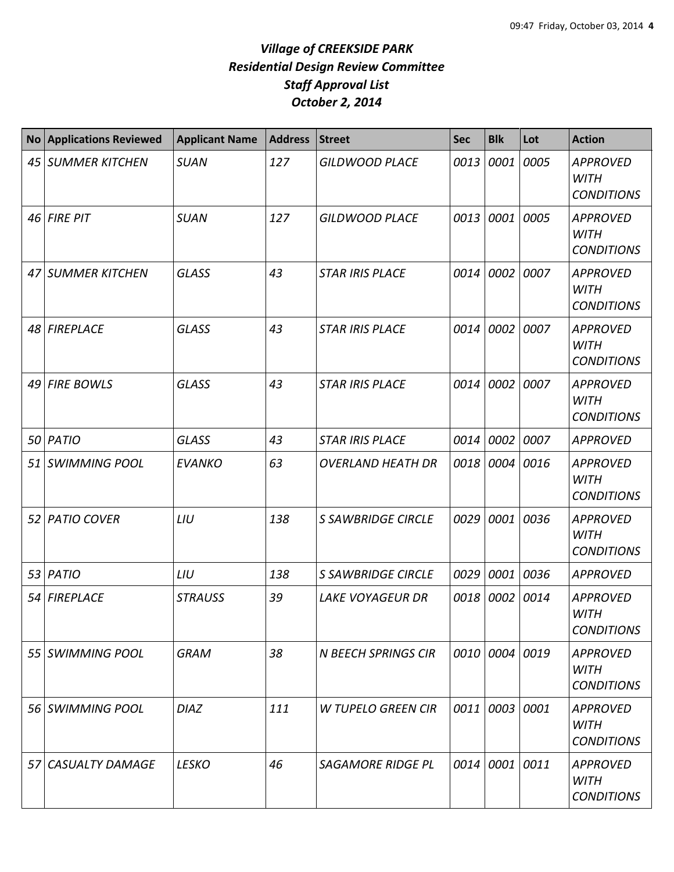| <b>No</b> | <b>Applications Reviewed</b> | <b>Applicant Name</b> | <b>Address</b> | <b>Street</b>             | <b>Sec</b> | <b>Blk</b>     | Lot  | <b>Action</b>                                       |
|-----------|------------------------------|-----------------------|----------------|---------------------------|------------|----------------|------|-----------------------------------------------------|
| 45        | <b>SUMMER KITCHEN</b>        | <b>SUAN</b>           | 127            | <b>GILDWOOD PLACE</b>     | 0013       | 0001           | 0005 | <b>APPROVED</b><br><b>WITH</b><br><b>CONDITIONS</b> |
|           | 46 FIRE PIT                  | <b>SUAN</b>           | 127            | <b>GILDWOOD PLACE</b>     | 0013       | 0001           | 0005 | <b>APPROVED</b><br><b>WITH</b><br><b>CONDITIONS</b> |
|           | 47 SUMMER KITCHEN            | <b>GLASS</b>          | 43             | <b>STAR IRIS PLACE</b>    | 0014       | 0002           | 0007 | <b>APPROVED</b><br><b>WITH</b><br><b>CONDITIONS</b> |
| 48        | <b>FIREPLACE</b>             | <b>GLASS</b>          | 43             | <b>STAR IRIS PLACE</b>    | 0014       | 0002           | 0007 | <b>APPROVED</b><br><b>WITH</b><br><b>CONDITIONS</b> |
| 49        | <b>FIRE BOWLS</b>            | <b>GLASS</b>          | 43             | <b>STAR IRIS PLACE</b>    | 0014       | 0002           | 0007 | <b>APPROVED</b><br><b>WITH</b><br><b>CONDITIONS</b> |
| 50        | PATIO                        | <b>GLASS</b>          | 43             | <b>STAR IRIS PLACE</b>    | 0014       | 0002           | 0007 | <b>APPROVED</b>                                     |
|           | 51 SWIMMING POOL             | <b>EVANKO</b>         | 63             | <b>OVERLAND HEATH DR</b>  | 0018       | 0004           | 0016 | <b>APPROVED</b><br><b>WITH</b><br><b>CONDITIONS</b> |
| 52 I      | <b>PATIO COVER</b>           | LIU                   | 138            | <b>S SAWBRIDGE CIRCLE</b> | 0029       | 0001           | 0036 | <b>APPROVED</b><br><b>WITH</b><br><b>CONDITIONS</b> |
| 53        | PATIO                        | LIU                   | 138            | <b>S SAWBRIDGE CIRCLE</b> | 0029       | 0001           | 0036 | <b>APPROVED</b>                                     |
| 54        | <b>FIREPLACE</b>             | <b>STRAUSS</b>        | 39             | <b>LAKE VOYAGEUR DR</b>   | 0018       | 0002           | 0014 | <b>APPROVED</b><br><b>WITH</b><br><b>CONDITIONS</b> |
|           | 55 SWIMMING POOL             | <b>GRAM</b>           | 38             | N BEECH SPRINGS CIR       |            | 0010 0004 0019 |      | <b>APPROVED</b><br><b>WITH</b><br><b>CONDITIONS</b> |
|           | 56 SWIMMING POOL             | <b>DIAZ</b>           | 111            | W TUPELO GREEN CIR        | 0011       | 0003           | 0001 | <b>APPROVED</b><br><b>WITH</b><br><b>CONDITIONS</b> |
| 57        | <b>CASUALTY DAMAGE</b>       | <b>LESKO</b>          | 46             | <b>SAGAMORE RIDGE PL</b>  | 0014       | 0001 0011      |      | <b>APPROVED</b><br><b>WITH</b><br><b>CONDITIONS</b> |